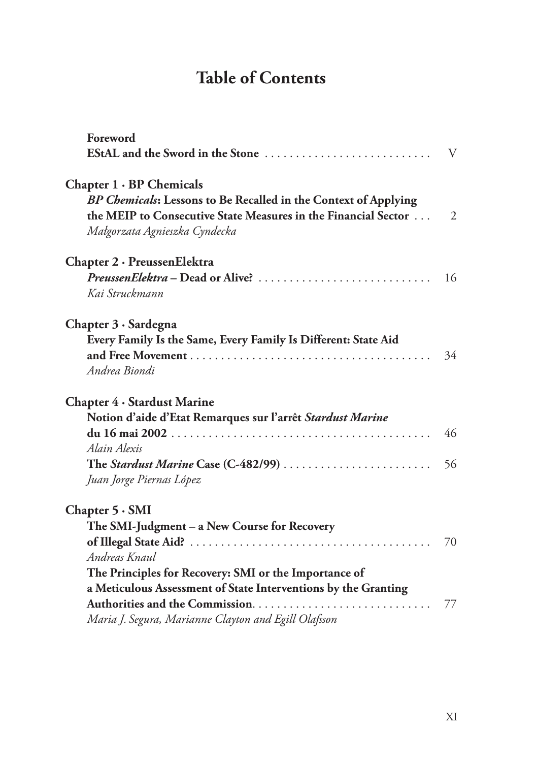## **Table of Contents**

| Foreword                                                        |                |
|-----------------------------------------------------------------|----------------|
| <b>EStAL</b> and the Sword in the Stone                         | V              |
| Chapter $1 \cdot BP$ Chemicals                                  |                |
| BP Chemicals: Lessons to Be Recalled in the Context of Applying |                |
| the MEIP to Consecutive State Measures in the Financial Sector  | $\overline{2}$ |
| Małgorzata Agnieszka Cyndecka                                   |                |
| Chapter 2 · PreussenElektra                                     |                |
| PreussenElektra – Dead or Alive?                                | 16             |
| Kai Struckmann                                                  |                |
| Chapter 3 · Sardegna                                            |                |
| Every Family Is the Same, Every Family Is Different: State Aid  |                |
|                                                                 | 34             |
| Andrea Biondi                                                   |                |
| Chapter 4 · Stardust Marine                                     |                |
| Notion d'aide d'Etat Remarques sur l'arrêt Stardust Marine      |                |
|                                                                 | 46             |
| Alain Alexis                                                    |                |
| The Stardust Marine Case (C-482/99)                             | 56             |
| Juan Jorge Piernas López                                        |                |
| Chapter $5 \cdot SMI$                                           |                |
| The SMI-Judgment - a New Course for Recovery                    |                |
|                                                                 | 70             |
| Andreas Knaul                                                   |                |
| The Principles for Recovery: SMI or the Importance of           |                |
| a Meticulous Assessment of State Interventions by the Granting  |                |
| Authorities and the Commission                                  | 77             |
| Maria J. Segura, Marianne Clayton and Egill Olafsson            |                |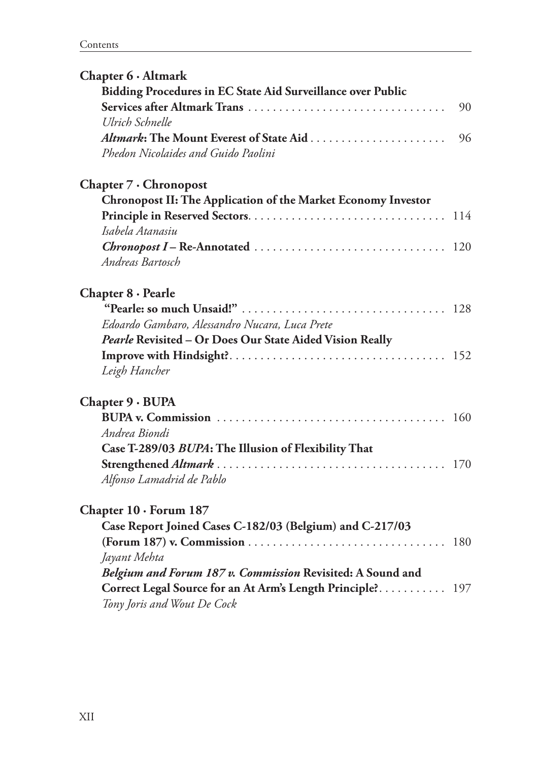| Chapter 6 · Altmark                                           |     |
|---------------------------------------------------------------|-----|
| Bidding Procedures in EC State Aid Surveillance over Public   |     |
| Services after Altmark Trans                                  | 90  |
| Ulrich Schnelle                                               |     |
|                                                               | 96  |
| Phedon Nicolaides and Guido Paolini                           |     |
| Chapter 7 · Chronopost                                        |     |
| Chronopost II: The Application of the Market Economy Investor |     |
|                                                               |     |
| Isabela Atanasiu                                              |     |
|                                                               |     |
| Andreas Bartosch                                              |     |
| $Chapter 8 \cdot \text{Pearle}$                               |     |
|                                                               |     |
| Edoardo Gambaro, Alessandro Nucara, Luca Prete                |     |
| Pearle Revisited - Or Does Our State Aided Vision Really      |     |
|                                                               |     |
| Leigh Hancher                                                 |     |
| Chapter 9 · BUPA                                              |     |
|                                                               |     |
| Andrea Biondi                                                 |     |
| Case T-289/03 BUPA: The Illusion of Flexibility That          |     |
|                                                               |     |
| Alfonso Lamadrid de Pablo                                     |     |
| Chapter $10 \cdot$ Forum 187                                  |     |
| Case Report Joined Cases C-182/03 (Belgium) and C-217/03      |     |
|                                                               | 180 |
| Jayant Mehta                                                  |     |
| Belgium and Forum 187 v. Commission Revisited: A Sound and    |     |
| Correct Legal Source for an At Arm's Length Principle? 197    |     |
| Tony Joris and Wout De Cock                                   |     |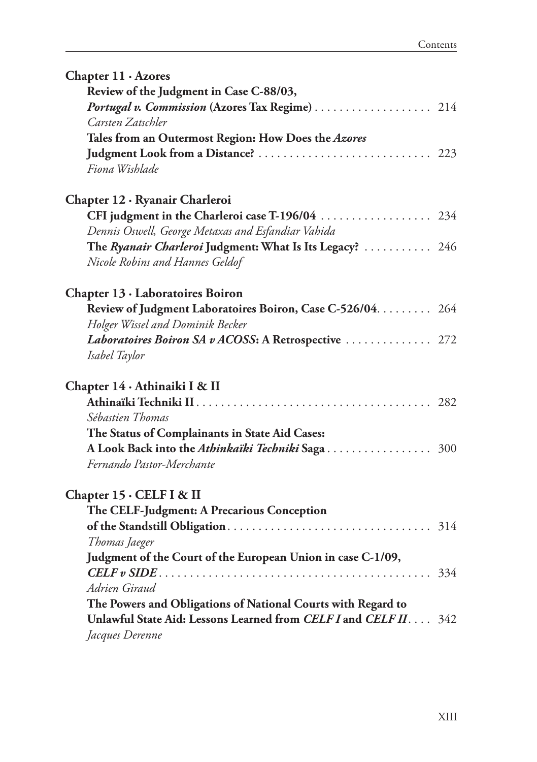| Chapter $11 \cdot$ Azores                                       |  |
|-----------------------------------------------------------------|--|
| Review of the Judgment in Case C-88/03,                         |  |
| Portugal v. Commission (Azores Tax Regime) 214                  |  |
| Carsten Zatschler                                               |  |
| Tales from an Outermost Region: How Does the Azores             |  |
|                                                                 |  |
| Fiona Wishlade                                                  |  |
| Chapter 12 · Ryanair Charleroi                                  |  |
| CFI judgment in the Charleroi case T-196/04  234                |  |
| Dennis Oswell, George Metaxas and Esfandiar Vahida              |  |
| The Ryanair Charleroi Judgment: What Is Its Legacy?  246        |  |
| Nicole Robins and Hannes Geldof                                 |  |
| Chapter 13 · Laboratoires Boiron                                |  |
| Review of Judgment Laboratoires Boiron, Case C-526/04. 264      |  |
| Holger Wissel and Dominik Becker                                |  |
| Laboratoires Boiron SA v ACOSS: A Retrospective  272            |  |
| Isabel Taylor                                                   |  |
| Chapter 14 · Athinaiki I & II                                   |  |
|                                                                 |  |
| Sébastien Thomas                                                |  |
| The Status of Complainants in State Aid Cases:                  |  |
|                                                                 |  |
| Fernando Pastor-Merchante                                       |  |
| Chapter 15 · CELF I & II                                        |  |
| The CELF-Judgment: A Precarious Conception                      |  |
|                                                                 |  |
| Thomas Jaeger                                                   |  |
| Judgment of the Court of the European Union in case C-1/09,     |  |
|                                                                 |  |
| Adrien Giraud                                                   |  |
| The Powers and Obligations of National Courts with Regard to    |  |
| Unlawful State Aid: Lessons Learned from CELF I and CELF II 342 |  |
| Jacques Derenne                                                 |  |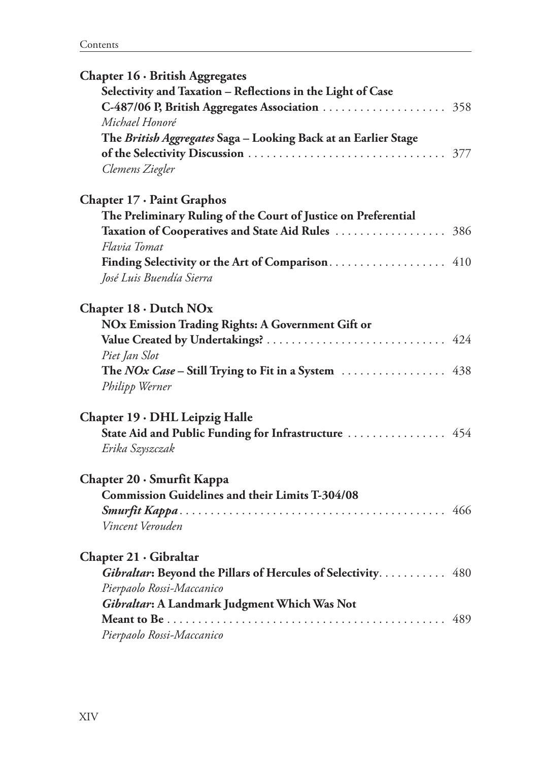| Chapter 16 · British Aggregates                                |  |
|----------------------------------------------------------------|--|
| Selectivity and Taxation - Reflections in the Light of Case    |  |
|                                                                |  |
| Michael Honoré                                                 |  |
| The British Aggregates Saga - Looking Back at an Earlier Stage |  |
|                                                                |  |
| Clemens Ziegler                                                |  |
| Chapter 17 · Paint Graphos                                     |  |
| The Preliminary Ruling of the Court of Justice on Preferential |  |
|                                                                |  |
| Flavia Tomat                                                   |  |
| Finding Selectivity or the Art of Comparison 410               |  |
| José Luis Buendía Sierra                                       |  |
| Chapter 18 · Dutch NOx                                         |  |
| NOx Emission Trading Rights: A Government Gift or              |  |
|                                                                |  |
| Piet Jan Slot                                                  |  |
|                                                                |  |
| Philipp Werner                                                 |  |
| Chapter 19 · DHL Leipzig Halle                                 |  |
| State Aid and Public Funding for Infrastructure  454           |  |
| Erika Szyszczak                                                |  |
| Chapter 20 · Smurfit Kappa                                     |  |
| <b>Commission Guidelines and their Limits T-304/08</b>         |  |
|                                                                |  |
| Vincent Verouden                                               |  |
| Chapter 21 · Gibraltar                                         |  |
| Gibraltar: Beyond the Pillars of Hercules of Selectivity. 480  |  |
| Pierpaolo Rossi-Maccanico                                      |  |
| Gibraltar: A Landmark Judgment Which Was Not                   |  |
|                                                                |  |
| Pierpaolo Rossi-Maccanico                                      |  |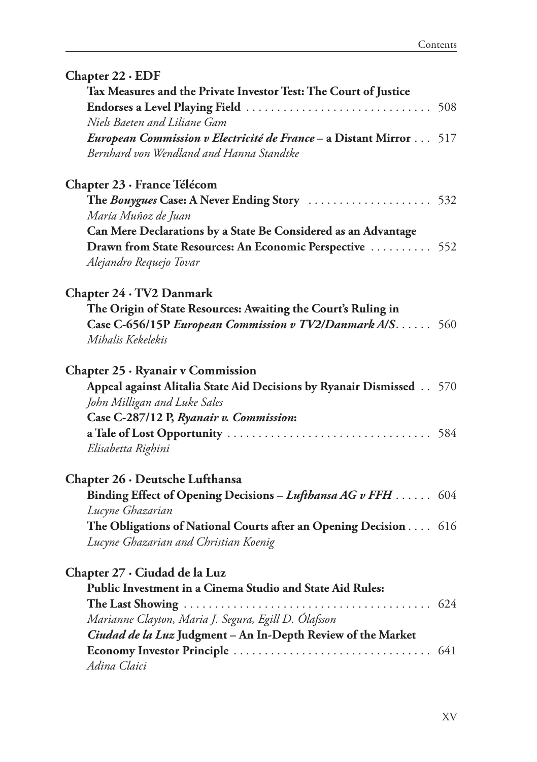| Chapter 22 · EDF |  |  |  |
|------------------|--|--|--|
|------------------|--|--|--|

| Tax Measures and the Private Investor Test: The Court of Justice<br>Niels Baeten and Liliane Gam                |  |
|-----------------------------------------------------------------------------------------------------------------|--|
| European Commission v Electricité de France - a Distant Mirror  517<br>Bernhard von Wendland and Hanna Standtke |  |
| Chapter 23 · France Télécom                                                                                     |  |
| The Bouygues Case: A Never Ending Story  532                                                                    |  |
| María Muñoz de Juan                                                                                             |  |
| Can Mere Declarations by a State Be Considered as an Advantage                                                  |  |
| Drawn from State Resources: An Economic Perspective  552                                                        |  |
| Alejandro Requejo Tovar                                                                                         |  |
| Chapter 24 · TV2 Danmark                                                                                        |  |
| The Origin of State Resources: Awaiting the Court's Ruling in                                                   |  |
| Case C-656/15P European Commission v TV2/Danmark A/S 560                                                        |  |
| Mihalis Kekelekis                                                                                               |  |
| Chapter 25 · Ryanair v Commission                                                                               |  |
| Appeal against Alitalia State Aid Decisions by Ryanair Dismissed 570                                            |  |
| John Milligan and Luke Sales                                                                                    |  |
| Case C-287/12 P, Ryanair v. Commission:                                                                         |  |
|                                                                                                                 |  |
| Elisabetta Righini                                                                                              |  |
| Chapter 26 · Deutsche Lufthansa                                                                                 |  |
| Binding Effect of Opening Decisions - Lufthansa AG v FFH  604                                                   |  |
| Lucyne Ghazarian                                                                                                |  |
| The Obligations of National Courts after an Opening Decision 616                                                |  |
| Lucyne Ghazarian and Christian Koenig                                                                           |  |
| Chapter 27 · Ciudad de la Luz                                                                                   |  |
| Public Investment in a Cinema Studio and State Aid Rules:                                                       |  |
|                                                                                                                 |  |
| Marianne Clayton, Maria J. Segura, Egill D. Ólafsson                                                            |  |
| Ciudad de la Luz Judgment - An In-Depth Review of the Market                                                    |  |
|                                                                                                                 |  |
| Adina Claici                                                                                                    |  |